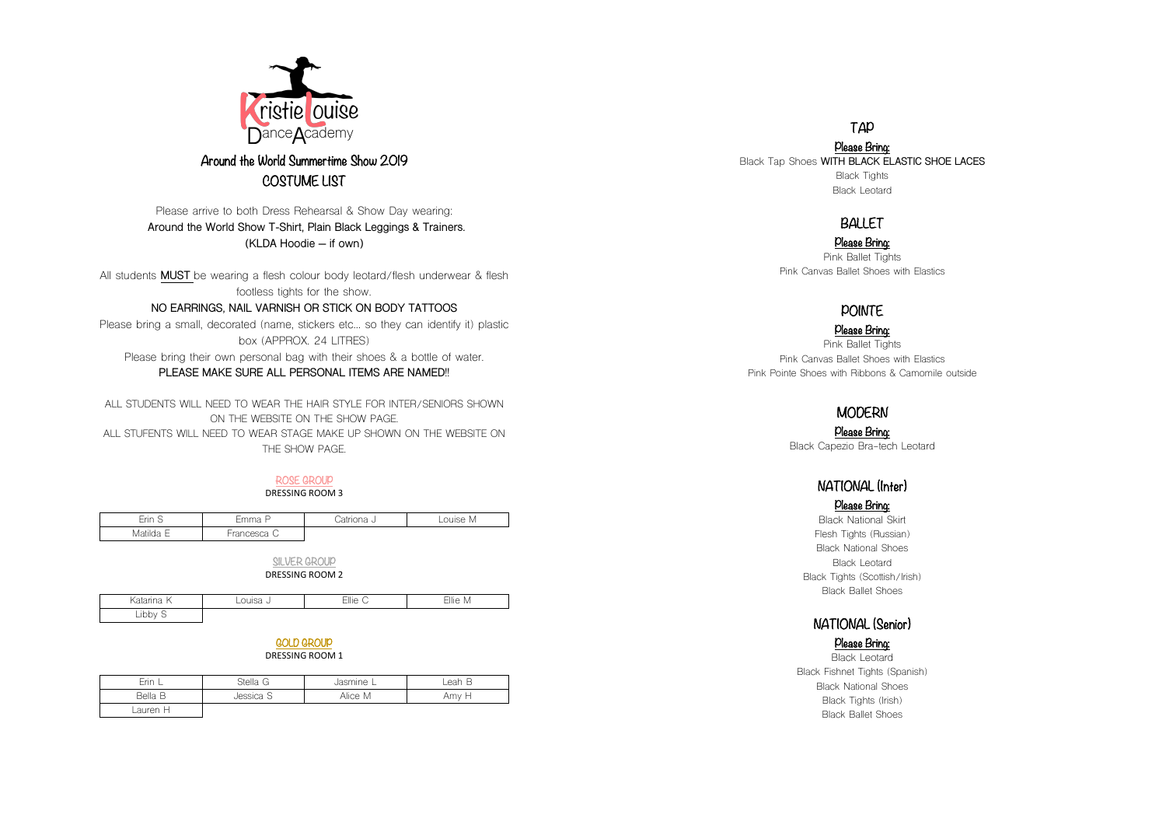

## Around the World Summertime Show 2019 COSTUME LIST

Please arrive to both Dress Rehearsal & Show Day wearing: **Around the World Show T-Shirt, Plain Black Leggings & Trainers. (KLDA Hoodie – if own)**

All students **MUST** be wearing a flesh colour body leotard/flesh underwear & flesh footless tights for the show.

#### **NO EARRINGS, NAIL VARNISH OR STICK ON BODY TATTOOS**

Please bring a small, decorated (name, stickers etc… so they can identify it) plastic box (APPROX. 24 LITRES)

Please bring their own personal bag with their shoes & a bottle of water.

#### **PLEASE MAKE SURE ALL PERSONAL ITEMS ARE NAMED!!**

ALL STUDENTS WILL NEED TO WEAR THE HAIR STYLE FOR INTER/SENIORS SHOWN ON THE WEBSITE ON THE SHOW PAGE. ALL STUFENTS WILL NEED TO WEAR STAGE MAKE UP SHOWN ON THE WEBSITE ON THE SHOW PAGE.

#### ROSE GROUP

DRESSING ROOM 3

| Erin<br>-<br>◡ | ے ا ا ا ا ا ا | ાત<br>ЧU.<br>∼ | Louise<br>M |
|----------------|---------------|----------------|-------------|
| Matilda        | ◡<br>$\sim$   |                |             |

SILVER GROUP DRESSING ROOM 2

| Katarina    | $\cdots$<br>◡ | Ellie<br>∽<br>◡ | ⊨llie<br>M<br>$\cdots$ |
|-------------|---------------|-----------------|------------------------|
| ihhu<br>니니니 |               |                 |                        |

## GOLD GROUP

DRESSING ROOM 1

| Erin .   | Stella G  | Jasmine L | Leah B |
|----------|-----------|-----------|--------|
| Bella B  | Jessica S | Alice M   | Amy H  |
| Lauren H |           |           |        |

### TAP

Please Bring: Black Tap Shoes **WITH BLACK ELASTIC SHOE LACES** Black Tights Black Leotard

## BALLET

Please Bring: Pink Ballet Tights Pink Canvas Ballet Shoes with Elastics

## **POINTF**

Please Bring: Pink Ballet Tights Pink Canvas Ballet Shoes with Elastics Pink Pointe Shoes with Ribbons & Camomile outside

### **MODERN**

Please Bring: Black Capezio Bra-tech Leotard

## NATIONAL (Inter)

#### Please Bring:

Black National Skirt Flesh Tights (Russian) Black National Shoes Black Leotard Black Tights (Scottish/Irish) Black Ballet Shoes

# NATIONAL (Senior)

### Please Bring:

Black Leotard Black Fishnet Tights (Spanish) Black National Shoes Black Tights (Irish) Black Ballet Shoes